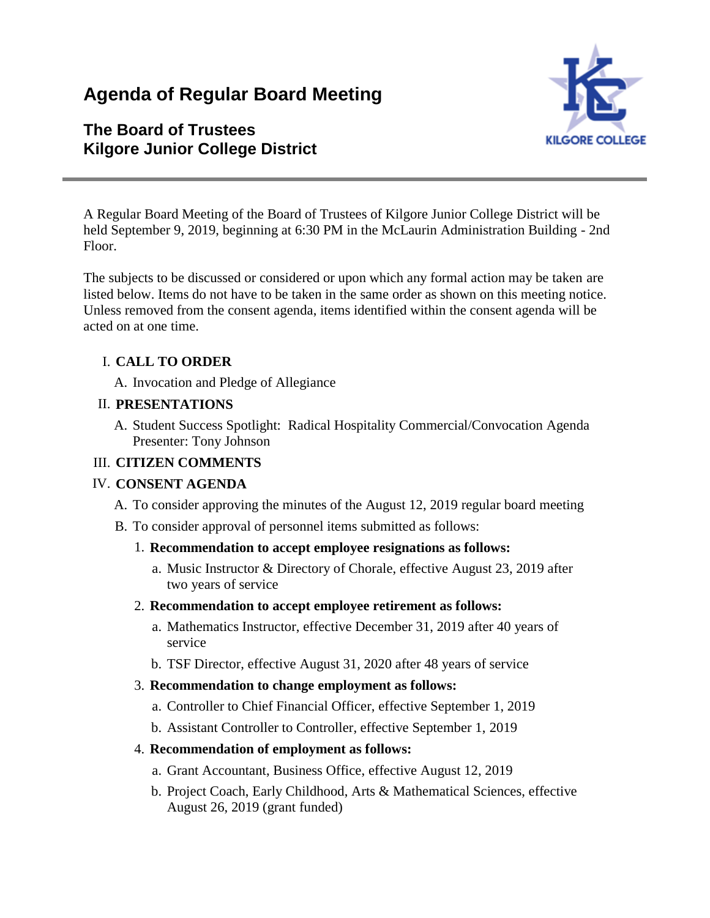# **Agenda of Regular Board Meeting**

## **The Board of Trustees Kilgore Junior College District**



A Regular Board Meeting of the Board of Trustees of Kilgore Junior College District will be held September 9, 2019, beginning at 6:30 PM in the McLaurin Administration Building - 2nd Floor.

The subjects to be discussed or considered or upon which any formal action may be taken are listed below. Items do not have to be taken in the same order as shown on this meeting notice. Unless removed from the consent agenda, items identified within the consent agenda will be acted on at one time.

## I. **CALL TO ORDER**

A. Invocation and Pledge of Allegiance

#### II. **PRESENTATIONS**

A. Student Success Spotlight: Radical Hospitality Commercial/Convocation Agenda Presenter: Tony Johnson

## III. **CITIZEN COMMENTS**

## IV. **CONSENT AGENDA**

- A. To consider approving the minutes of the August 12, 2019 regular board meeting
- B. To consider approval of personnel items submitted as follows:

## 1. **Recommendation to accept employee resignations as follows:**

a. Music Instructor & Directory of Chorale, effective August 23, 2019 after two years of service

## 2. **Recommendation to accept employee retirement as follows:**

- a. Mathematics Instructor, effective December 31, 2019 after 40 years of service
- b. TSF Director, effective August 31, 2020 after 48 years of service

#### 3. **Recommendation to change employment as follows:**

- a. Controller to Chief Financial Officer, effective September 1, 2019
- b. Assistant Controller to Controller, effective September 1, 2019

## 4. **Recommendation of employment as follows:**

- a. Grant Accountant, Business Office, effective August 12, 2019
- b. Project Coach, Early Childhood, Arts & Mathematical Sciences, effective August 26, 2019 (grant funded)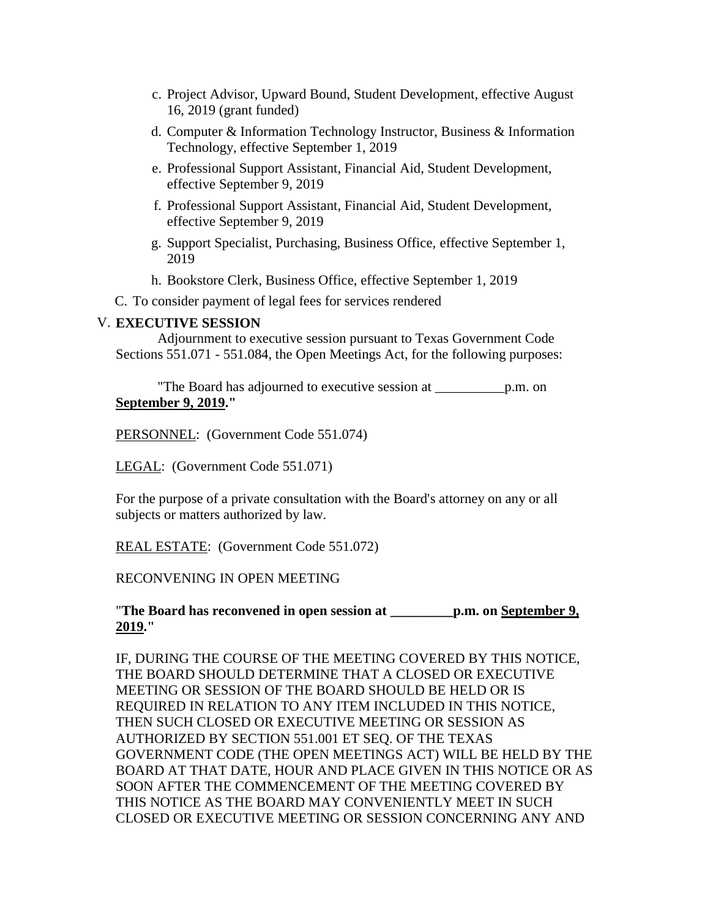- c. Project Advisor, Upward Bound, Student Development, effective August 16, 2019 (grant funded)
- d. Computer & Information Technology Instructor, Business & Information Technology, effective September 1, 2019
- e. Professional Support Assistant, Financial Aid, Student Development, effective September 9, 2019
- f. Professional Support Assistant, Financial Aid, Student Development, effective September 9, 2019
- g. Support Specialist, Purchasing, Business Office, effective September 1, 2019
- h. Bookstore Clerk, Business Office, effective September 1, 2019

C. To consider payment of legal fees for services rendered

#### V. **EXECUTIVE SESSION**

 Adjournment to executive session pursuant to Texas Government Code Sections 551.071 - 551.084, the Open Meetings Act, for the following purposes:

 "The Board has adjourned to executive session at \_\_\_\_\_\_\_\_\_\_p.m. on **September 9, 2019."**

PERSONNEL: (Government Code 551.074)

LEGAL: (Government Code 551.071)

For the purpose of a private consultation with the Board's attorney on any or all subjects or matters authorized by law.

REAL ESTATE: (Government Code 551.072)

#### RECONVENING IN OPEN MEETING

#### "**The Board has reconvened in open session at \_\_\_\_\_\_\_\_\_p.m. on September 9, 2019."**

IF, DURING THE COURSE OF THE MEETING COVERED BY THIS NOTICE, THE BOARD SHOULD DETERMINE THAT A CLOSED OR EXECUTIVE MEETING OR SESSION OF THE BOARD SHOULD BE HELD OR IS REQUIRED IN RELATION TO ANY ITEM INCLUDED IN THIS NOTICE, THEN SUCH CLOSED OR EXECUTIVE MEETING OR SESSION AS AUTHORIZED BY SECTION 551.001 ET SEQ. OF THE TEXAS GOVERNMENT CODE (THE OPEN MEETINGS ACT) WILL BE HELD BY THE BOARD AT THAT DATE, HOUR AND PLACE GIVEN IN THIS NOTICE OR AS SOON AFTER THE COMMENCEMENT OF THE MEETING COVERED BY THIS NOTICE AS THE BOARD MAY CONVENIENTLY MEET IN SUCH CLOSED OR EXECUTIVE MEETING OR SESSION CONCERNING ANY AND